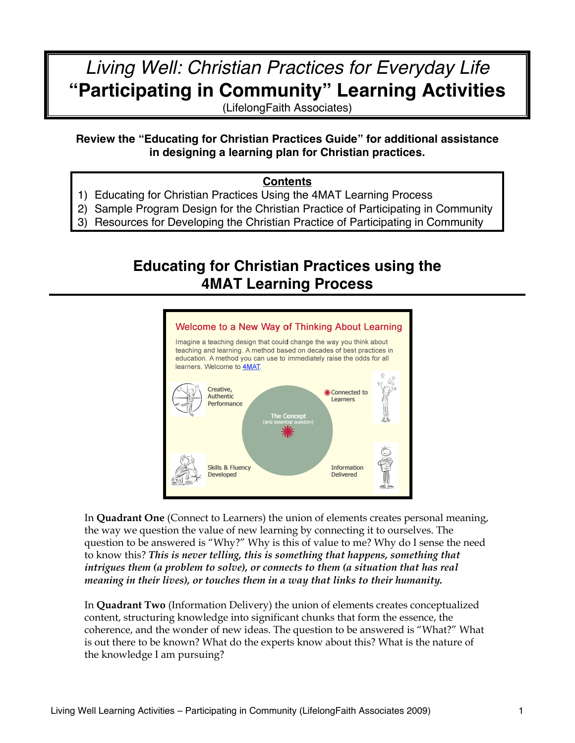# *Living Well: Christian Practices for Everyday Life* **"Participating in Community" Learning Activities**

(LifelongFaith Associates)

### **Review the "Educating for Christian Practices Guide" for additional assistance in designing a learning plan for Christian practices.**

#### **Contents**

- 1) Educating for Christian Practices Using the 4MAT Learning Process
- 2) Sample Program Design for the Christian Practice of Participating in Community
- 3) Resources for Developing the Christian Practice of Participating in Community

# **Educating for Christian Practices using the 4MAT Learning Process**



In **Quadrant One** (Connect to Learners) the union of elements creates personal meaning, the way we question the value of new learning by connecting it to ourselves. The question to be answered is "Why?" Why is this of value to me? Why do I sense the need to know this? *This is never telling, this is something that happens, something that intrigues them (a problem to solve), or connects to them (a situation that has real meaning in their lives), or touches them in a way that links to their humanity.*

In **Quadrant Two** (Information Delivery) the union of elements creates conceptualized content, structuring knowledge into significant chunks that form the essence, the coherence, and the wonder of new ideas. The question to be answered is "What?" What is out there to be known? What do the experts know about this? What is the nature of the knowledge I am pursuing?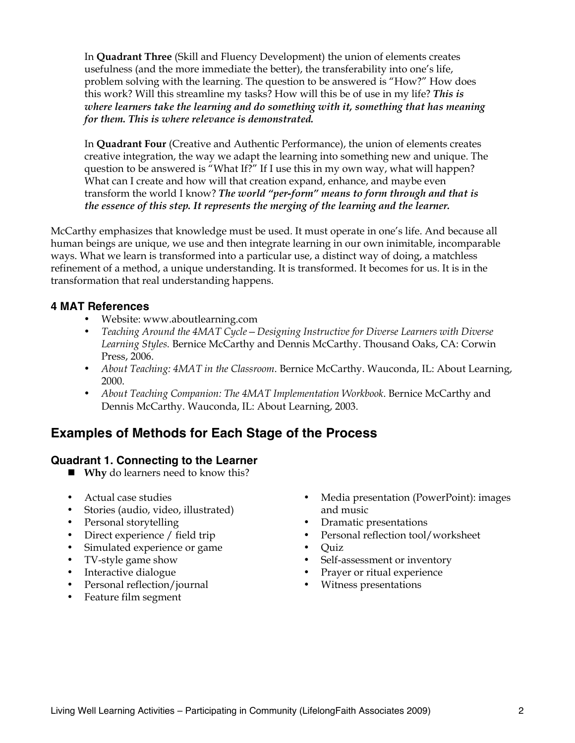In **Quadrant Three** (Skill and Fluency Development) the union of elements creates usefulness (and the more immediate the better), the transferability into one's life, problem solving with the learning. The question to be answered is "How?" How does this work? Will this streamline my tasks? How will this be of use in my life? *This is where learners take the learning and do something with it, something that has meaning for them. This is where relevance is demonstrated.* 

In **Quadrant Four** (Creative and Authentic Performance), the union of elements creates creative integration, the way we adapt the learning into something new and unique. The question to be answered is "What If?" If I use this in my own way, what will happen? What can I create and how will that creation expand, enhance, and maybe even transform the world I know? *The world "per-form" means to form through and that is the essence of this step. It represents the merging of the learning and the learner.*

McCarthy emphasizes that knowledge must be used. It must operate in one's life. And because all human beings are unique, we use and then integrate learning in our own inimitable, incomparable ways. What we learn is transformed into a particular use, a distinct way of doing, a matchless refinement of a method, a unique understanding. It is transformed. It becomes for us. It is in the transformation that real understanding happens.

#### **4 MAT References**

- Website: www.aboutlearning.com
- *Teaching Around the 4MAT Cycle—Designing Instructive for Diverse Learners with Diverse Learning Styles.* Bernice McCarthy and Dennis McCarthy. Thousand Oaks, CA: Corwin Press, 2006.
- *About Teaching: 4MAT in the Classroom*. Bernice McCarthy. Wauconda, IL: About Learning, 2000.
- *About Teaching Companion: The 4MAT Implementation Workbook*. Bernice McCarthy and Dennis McCarthy. Wauconda, IL: About Learning, 2003.

## **Examples of Methods for Each Stage of the Process**

#### **Quadrant 1. Connecting to the Learner**

- **Why** do learners need to know this?
- Actual case studies
- Stories (audio, video, illustrated)
- Personal storytelling
- Direct experience / field trip
- Simulated experience or game
- TV-style game show
- Interactive dialogue
- Personal reflection/journal
- Feature film segment
- Media presentation (PowerPoint): images and music
- Dramatic presentations
- Personal reflection tool/worksheet
- Quiz
- Self-assessment or inventory<br>• Praver or ritual experience
- Prayer or ritual experience
- Witness presentations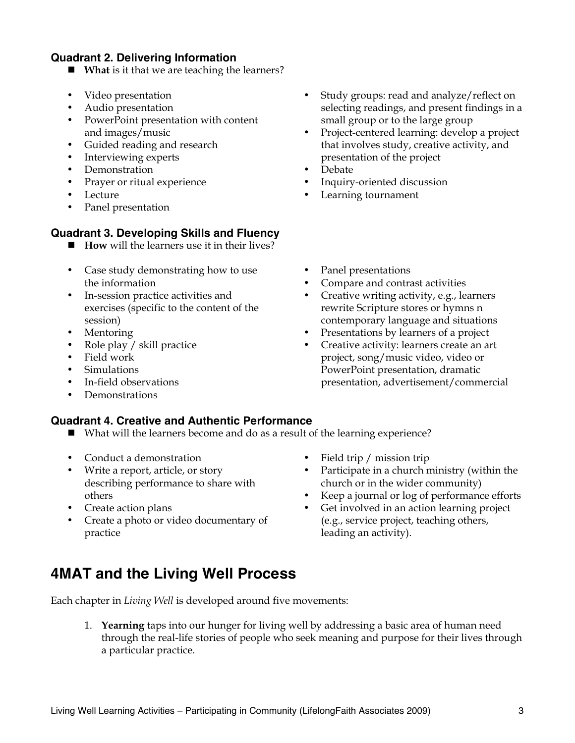#### **Quadrant 2. Delivering Information**

- **What** is it that we are teaching the learners?
- Video presentation
- Audio presentation
- PowerPoint presentation with content and images/music
- Guided reading and research
- Interviewing experts
- Demonstration
- Prayer or ritual experience
- Lecture
- Panel presentation

#### **Quadrant 3. Developing Skills and Fluency**

- **How** will the learners use it in their lives?
- Case study demonstrating how to use the information
- In-session practice activities and exercises (specific to the content of the session)
- **Mentoring**
- Role play / skill practice
- Field work
- Simulations
- In-field observations
- Demonstrations

#### **Quadrant 4. Creative and Authentic Performance**

- What will the learners become and do as a result of the learning experience?
- Conduct a demonstration
- Write a report, article, or story describing performance to share with others
- Create action plans
- Create a photo or video documentary of practice
- Field trip / mission trip
- Participate in a church ministry (within the church or in the wider community)
- Keep a journal or log of performance efforts
- Get involved in an action learning project (e.g., service project, teaching others, leading an activity).

# **4MAT and the Living Well Process**

Each chapter in *Living Well* is developed around five movements:

1. **Yearning** taps into our hunger for living well by addressing a basic area of human need through the real-life stories of people who seek meaning and purpose for their lives through a particular practice.

- Study groups: read and analyze/reflect on selecting readings, and present findings in a small group or to the large group
- Project-centered learning: develop a project that involves study, creative activity, and presentation of the project
- Debate
- Inquiry-oriented discussion
- Learning tournament
- Panel presentations
- Compare and contrast activities
- Creative writing activity, e.g., learners rewrite Scripture stores or hymns n contemporary language and situations
- Presentations by learners of a project
- Creative activity: learners create an art project, song/music video, video or PowerPoint presentation, dramatic presentation, advertisement/commercial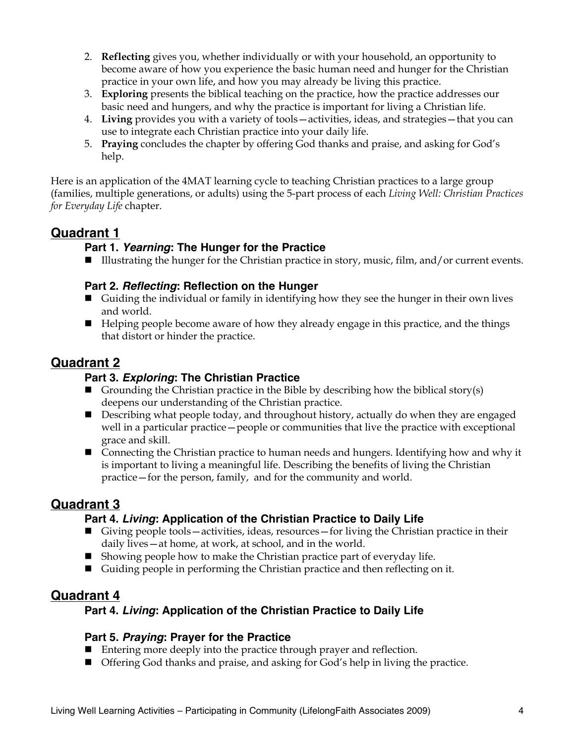- 2. **Reflecting** gives you, whether individually or with your household, an opportunity to become aware of how you experience the basic human need and hunger for the Christian practice in your own life, and how you may already be living this practice.
- 3. **Exploring** presents the biblical teaching on the practice, how the practice addresses our basic need and hungers, and why the practice is important for living a Christian life.
- 4. **Living** provides you with a variety of tools—activities, ideas, and strategies—that you can use to integrate each Christian practice into your daily life.
- 5. **Praying** concludes the chapter by offering God thanks and praise, and asking for God's help.

Here is an application of the 4MAT learning cycle to teaching Christian practices to a large group (families, multiple generations, or adults) using the 5-part process of each *Living Well: Christian Practices for Everyday Life* chapter.

## **Quadrant 1**

### **Part 1.** *Yearning***: The Hunger for the Practice**

■ Illustrating the hunger for the Christian practice in story, music, film, and/or current events.

### **Part 2.** *Reflecting***: Reflection on the Hunger**

- Guiding the individual or family in identifying how they see the hunger in their own lives and world.
- Helping people become aware of how they already engage in this practice, and the things that distort or hinder the practice.

## **Quadrant 2**

### **Part 3.** *Exploring***: The Christian Practice**

- Grounding the Christian practice in the Bible by describing how the biblical story(s) deepens our understanding of the Christian practice.
- **Describing what people today, and throughout history, actually do when they are engaged** well in a particular practice—people or communities that live the practice with exceptional grace and skill.
- Connecting the Christian practice to human needs and hungers. Identifying how and why it is important to living a meaningful life. Describing the benefits of living the Christian practice—for the person, family, and for the community and world.

## **Quadrant 3**

### **Part 4.** *Living***: Application of the Christian Practice to Daily Life**

- Giving people tools—activities, ideas, resources—for living the Christian practice in their daily lives—at home, at work, at school, and in the world.
- $\blacksquare$  Showing people how to make the Christian practice part of everyday life.
- Guiding people in performing the Christian practice and then reflecting on it.

## **Quadrant 4**

## **Part 4.** *Living***: Application of the Christian Practice to Daily Life**

### **Part 5.** *Praying***: Prayer for the Practice**

- Entering more deeply into the practice through prayer and reflection.
- Offering God thanks and praise, and asking for God's help in living the practice.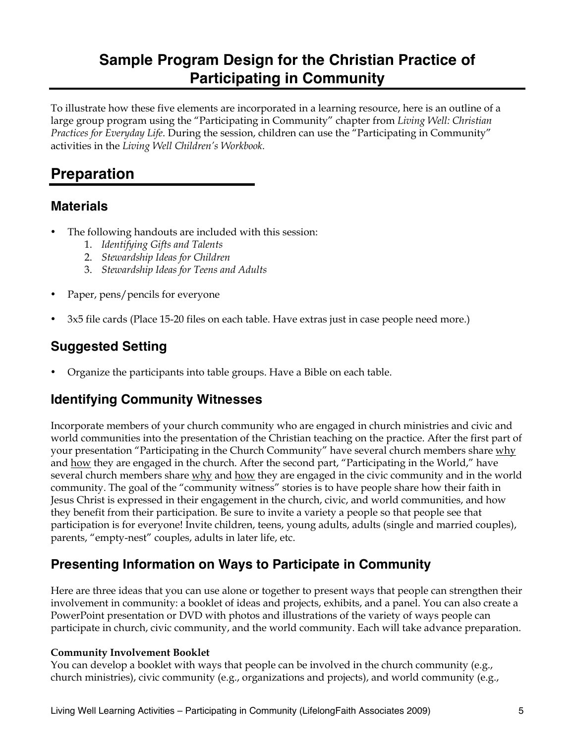# **Sample Program Design for the Christian Practice of Participating in Community**

To illustrate how these five elements are incorporated in a learning resource, here is an outline of a large group program using the "Participating in Community" chapter from *Living Well: Christian Practices for Everyday Life*. During the session, children can use the "Participating in Community" activities in the *Living Well Children's Workbook.* 

# **Preparation**

# **Materials**

- The following handouts are included with this session:
	- 1. *Identifying Gifts and Talents*
	- 2. *Stewardship Ideas for Children*
	- 3. *Stewardship Ideas for Teens and Adults*
- Paper, pens/pencils for everyone
- 3x5 file cards (Place 15-20 files on each table. Have extras just in case people need more.)

# **Suggested Setting**

• Organize the participants into table groups. Have a Bible on each table.

## **Identifying Community Witnesses**

Incorporate members of your church community who are engaged in church ministries and civic and world communities into the presentation of the Christian teaching on the practice. After the first part of your presentation "Participating in the Church Community" have several church members share why and how they are engaged in the church. After the second part, "Participating in the World," have several church members share why and how they are engaged in the civic community and in the world community. The goal of the "community witness" stories is to have people share how their faith in Jesus Christ is expressed in their engagement in the church, civic, and world communities, and how they benefit from their participation. Be sure to invite a variety a people so that people see that participation is for everyone! Invite children, teens, young adults, adults (single and married couples), parents, "empty-nest" couples, adults in later life, etc.

# **Presenting Information on Ways to Participate in Community**

Here are three ideas that you can use alone or together to present ways that people can strengthen their involvement in community: a booklet of ideas and projects, exhibits, and a panel. You can also create a PowerPoint presentation or DVD with photos and illustrations of the variety of ways people can participate in church, civic community, and the world community. Each will take advance preparation.

#### **Community Involvement Booklet**

You can develop a booklet with ways that people can be involved in the church community (e.g., church ministries), civic community (e.g., organizations and projects), and world community (e.g.,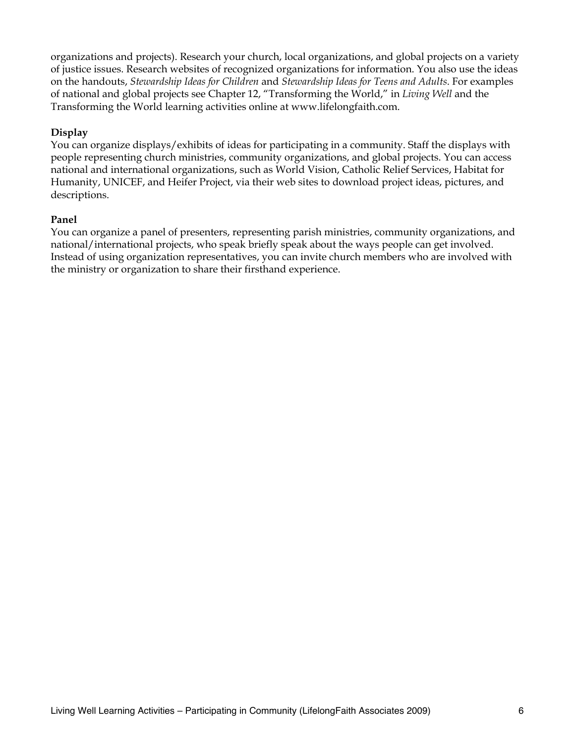organizations and projects). Research your church, local organizations, and global projects on a variety of justice issues. Research websites of recognized organizations for information. You also use the ideas on the handouts, *Stewardship Ideas for Children* and *Stewardship Ideas for Teens and Adults*. For examples of national and global projects see Chapter 12, "Transforming the World," in *Living Well* and the Transforming the World learning activities online at www.lifelongfaith.com.

#### **Display**

You can organize displays/exhibits of ideas for participating in a community. Staff the displays with people representing church ministries, community organizations, and global projects. You can access national and international organizations, such as World Vision, Catholic Relief Services, Habitat for Humanity, UNICEF, and Heifer Project, via their web sites to download project ideas, pictures, and descriptions.

#### **Panel**

You can organize a panel of presenters, representing parish ministries, community organizations, and national/international projects, who speak briefly speak about the ways people can get involved. Instead of using organization representatives, you can invite church members who are involved with the ministry or organization to share their firsthand experience.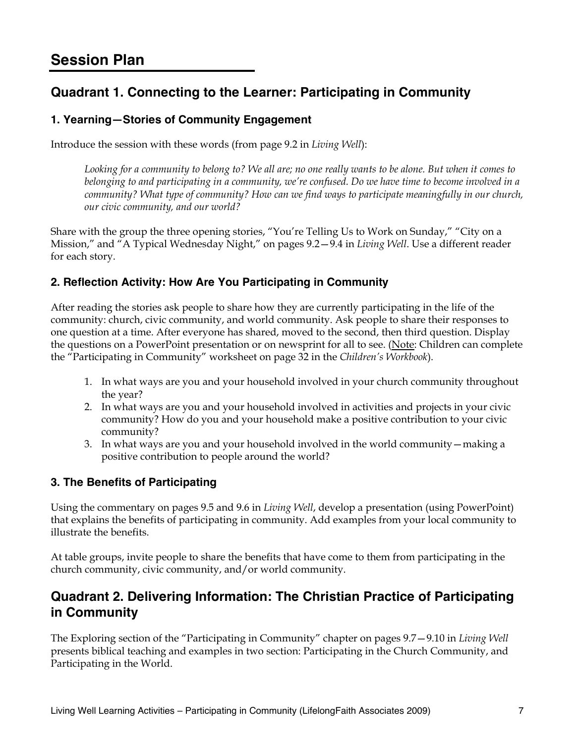# **Session Plan**

# **Quadrant 1. Connecting to the Learner: Participating in Community**

### **1. Yearning—Stories of Community Engagement**

Introduce the session with these words (from page 9.2 in *Living Well*):

*Looking for a community to belong to? We all are; no one really wants to be alone. But when it comes to belonging to and participating in a community, we're confused. Do we have time to become involved in a community? What type of community? How can we find ways to participate meaningfully in our church, our civic community, and our world?*

Share with the group the three opening stories, "You're Telling Us to Work on Sunday," "City on a Mission," and "A Typical Wednesday Night," on pages 9.2—9.4 in *Living Well*. Use a different reader for each story.

### **2. Reflection Activity: How Are You Participating in Community**

After reading the stories ask people to share how they are currently participating in the life of the community: church, civic community, and world community. Ask people to share their responses to one question at a time. After everyone has shared, moved to the second, then third question. Display the questions on a PowerPoint presentation or on newsprint for all to see. (Note: Children can complete the "Participating in Community" worksheet on page 32 in the *Children's Workbook*).

- 1. In what ways are you and your household involved in your church community throughout the year?
- 2. In what ways are you and your household involved in activities and projects in your civic community? How do you and your household make a positive contribution to your civic community?
- 3. In what ways are you and your household involved in the world community—making a positive contribution to people around the world?

### **3. The Benefits of Participating**

Using the commentary on pages 9.5 and 9.6 in *Living Well*, develop a presentation (using PowerPoint) that explains the benefits of participating in community. Add examples from your local community to illustrate the benefits.

At table groups, invite people to share the benefits that have come to them from participating in the church community, civic community, and/or world community.

## **Quadrant 2. Delivering Information: The Christian Practice of Participating in Community**

The Exploring section of the "Participating in Community" chapter on pages 9.7—9.10 in *Living Well* presents biblical teaching and examples in two section: Participating in the Church Community, and Participating in the World.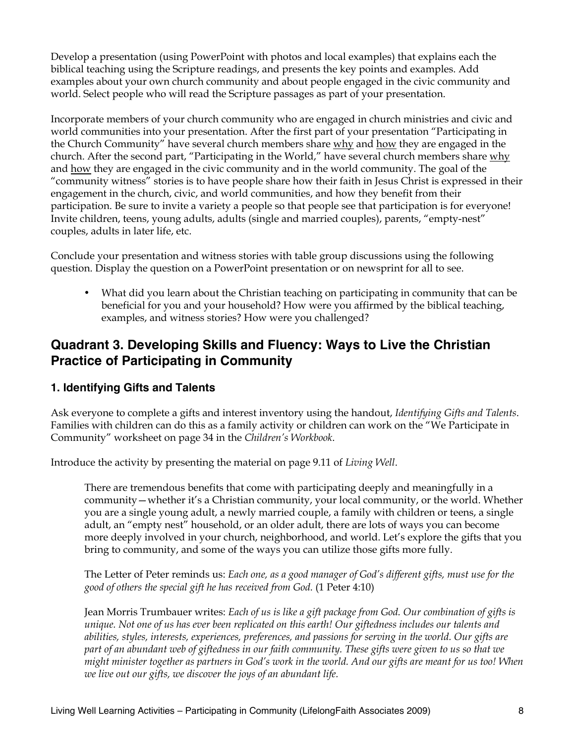Develop a presentation (using PowerPoint with photos and local examples) that explains each the biblical teaching using the Scripture readings, and presents the key points and examples. Add examples about your own church community and about people engaged in the civic community and world. Select people who will read the Scripture passages as part of your presentation.

Incorporate members of your church community who are engaged in church ministries and civic and world communities into your presentation. After the first part of your presentation "Participating in the Church Community" have several church members share why and how they are engaged in the church. After the second part, "Participating in the World," have several church members share why and how they are engaged in the civic community and in the world community. The goal of the "community witness" stories is to have people share how their faith in Jesus Christ is expressed in their engagement in the church, civic, and world communities, and how they benefit from their participation. Be sure to invite a variety a people so that people see that participation is for everyone! Invite children, teens, young adults, adults (single and married couples), parents, "empty-nest" couples, adults in later life, etc.

Conclude your presentation and witness stories with table group discussions using the following question. Display the question on a PowerPoint presentation or on newsprint for all to see.

• What did you learn about the Christian teaching on participating in community that can be beneficial for you and your household? How were you affirmed by the biblical teaching, examples, and witness stories? How were you challenged?

# **Quadrant 3. Developing Skills and Fluency: Ways to Live the Christian Practice of Participating in Community**

### **1. Identifying Gifts and Talents**

Ask everyone to complete a gifts and interest inventory using the handout, *Identifying Gifts and Talents*. Families with children can do this as a family activity or children can work on the "We Participate in Community" worksheet on page 34 in the *Children's Workbook*.

Introduce the activity by presenting the material on page 9.11 of *Living Well*.

There are tremendous benefits that come with participating deeply and meaningfully in a community—whether it's a Christian community, your local community, or the world. Whether you are a single young adult, a newly married couple, a family with children or teens, a single adult, an "empty nest" household, or an older adult, there are lots of ways you can become more deeply involved in your church, neighborhood, and world. Let's explore the gifts that you bring to community, and some of the ways you can utilize those gifts more fully.

The Letter of Peter reminds us: *Each one, as a good manager of God's different gifts, must use for the good of others the special gift he has received from God.* (1 Peter 4:10)

Jean Morris Trumbauer writes: *Each of us is like a gift package from God. Our combination of gifts is unique. Not one of us has ever been replicated on this earth! Our giftedness includes our talents and abilities, styles, interests, experiences, preferences, and passions for serving in the world. Our gifts are part of an abundant web of giftedness in our faith community. These gifts were given to us so that we might minister together as partners in God's work in the world. And our gifts are meant for us too! When we live out our gifts, we discover the joys of an abundant life.*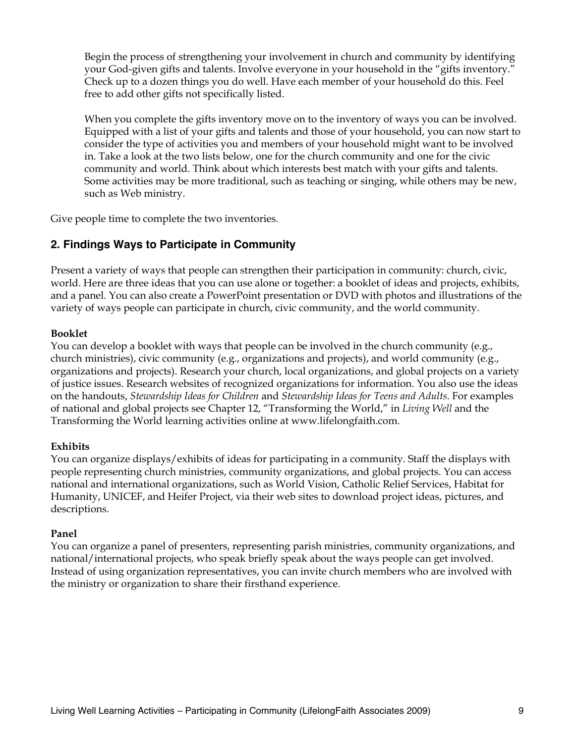Begin the process of strengthening your involvement in church and community by identifying your God-given gifts and talents. Involve everyone in your household in the "gifts inventory." Check up to a dozen things you do well. Have each member of your household do this. Feel free to add other gifts not specifically listed.

When you complete the gifts inventory move on to the inventory of ways you can be involved. Equipped with a list of your gifts and talents and those of your household, you can now start to consider the type of activities you and members of your household might want to be involved in. Take a look at the two lists below, one for the church community and one for the civic community and world. Think about which interests best match with your gifts and talents. Some activities may be more traditional, such as teaching or singing, while others may be new, such as Web ministry.

Give people time to complete the two inventories.

#### **2. Findings Ways to Participate in Community**

Present a variety of ways that people can strengthen their participation in community: church, civic, world. Here are three ideas that you can use alone or together: a booklet of ideas and projects, exhibits, and a panel. You can also create a PowerPoint presentation or DVD with photos and illustrations of the variety of ways people can participate in church, civic community, and the world community.

#### **Booklet**

You can develop a booklet with ways that people can be involved in the church community (e.g., church ministries), civic community (e.g., organizations and projects), and world community (e.g., organizations and projects). Research your church, local organizations, and global projects on a variety of justice issues. Research websites of recognized organizations for information. You also use the ideas on the handouts, *Stewardship Ideas for Children* and *Stewardship Ideas for Teens and Adults*. For examples of national and global projects see Chapter 12, "Transforming the World," in *Living Well* and the Transforming the World learning activities online at www.lifelongfaith.com.

#### **Exhibits**

You can organize displays/exhibits of ideas for participating in a community. Staff the displays with people representing church ministries, community organizations, and global projects. You can access national and international organizations, such as World Vision, Catholic Relief Services, Habitat for Humanity, UNICEF, and Heifer Project, via their web sites to download project ideas, pictures, and descriptions.

#### **Panel**

You can organize a panel of presenters, representing parish ministries, community organizations, and national/international projects, who speak briefly speak about the ways people can get involved. Instead of using organization representatives, you can invite church members who are involved with the ministry or organization to share their firsthand experience.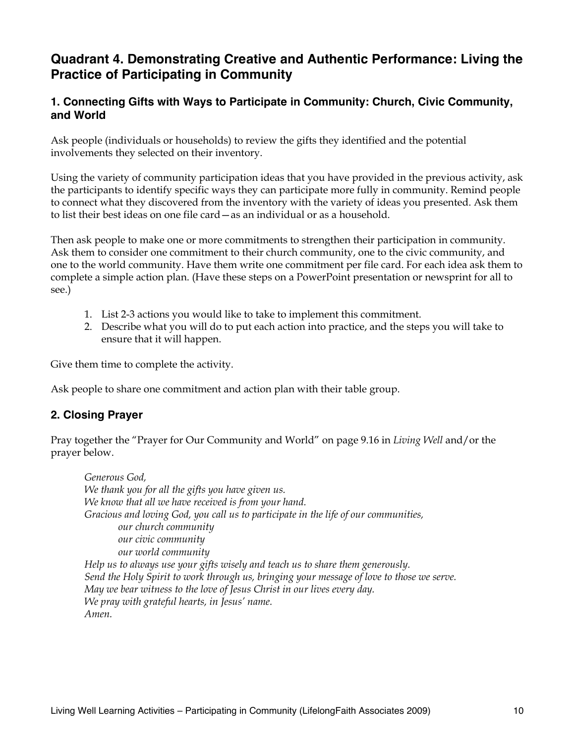## **Quadrant 4. Demonstrating Creative and Authentic Performance: Living the Practice of Participating in Community**

#### **1. Connecting Gifts with Ways to Participate in Community: Church, Civic Community, and World**

Ask people (individuals or households) to review the gifts they identified and the potential involvements they selected on their inventory.

Using the variety of community participation ideas that you have provided in the previous activity, ask the participants to identify specific ways they can participate more fully in community. Remind people to connect what they discovered from the inventory with the variety of ideas you presented. Ask them to list their best ideas on one file card—as an individual or as a household.

Then ask people to make one or more commitments to strengthen their participation in community. Ask them to consider one commitment to their church community, one to the civic community, and one to the world community. Have them write one commitment per file card. For each idea ask them to complete a simple action plan. (Have these steps on a PowerPoint presentation or newsprint for all to see.)

- 1. List 2-3 actions you would like to take to implement this commitment.
- 2. Describe what you will do to put each action into practice, and the steps you will take to ensure that it will happen.

Give them time to complete the activity.

Ask people to share one commitment and action plan with their table group.

#### **2. Closing Prayer**

Pray together the "Prayer for Our Community and World" on page 9.16 in *Living Well* and/or the prayer below.

*Generous God, We thank you for all the gifts you have given us. We know that all we have received is from your hand. Gracious and loving God, you call us to participate in the life of our communities, our church community our civic community our world community Help us to always use your gifts wisely and teach us to share them generously. Send the Holy Spirit to work through us, bringing your message of love to those we serve. May we bear witness to the love of Jesus Christ in our lives every day. We pray with grateful hearts, in Jesus' name. Amen.*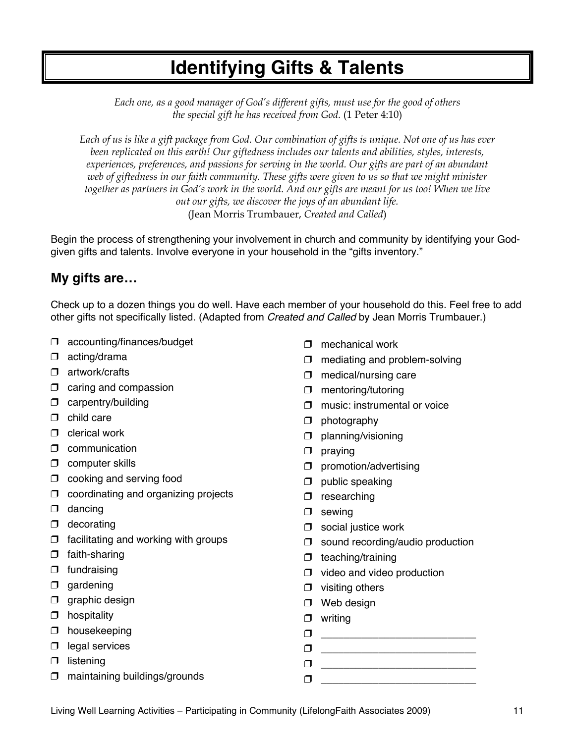# **Identifying Gifts & Talents**

*Each one, as a good manager of God's different gifts, must use for the good of others the special gift he has received from God.* (1 Peter 4:10)

*Each of us is like a gift package from God. Our combination of gifts is unique. Not one of us has ever been replicated on this earth! Our giftedness includes our talents and abilities, styles, interests, experiences, preferences, and passions for serving in the world. Our gifts are part of an abundant web of giftedness in our faith community. These gifts were given to us so that we might minister*  together as partners in God's work in the world. And our gifts are meant for us too! When we live *out our gifts, we discover the joys of an abundant life.* (Jean Morris Trumbauer, *Created and Called*)

Begin the process of strengthening your involvement in church and community by identifying your Godgiven gifts and talents. Involve everyone in your household in the "gifts inventory."

## **My gifts are…**

Check up to a dozen things you do well. Have each member of your household do this. Feel free to add other gifts not specifically listed. (Adapted from *Created and Called* by Jean Morris Trumbauer.)

- accounting/finances/budget
- $\Box$  acting/drama
- artwork/crafts
- $\Box$  caring and compassion
- **D** carpentry/building
- $\Box$  child care
- $\Box$  clerical work
- $\Box$  communication
- $\Box$  computer skills
- $\Box$  cooking and serving food
- $\Box$  coordinating and organizing projects
- $\Box$  dancing
- $\Box$  decorating
- $\Box$  facilitating and working with groups
- $\Box$  faith-sharing
- $\Box$  fundraising
- $\Box$  gardening
- $\Box$  graphic design
- $\Box$  hospitality
- $\Box$  housekeeping
- $\Box$  legal services
- $\Box$  listening
- $\Box$  maintaining buildings/grounds
- $\Box$  mechanical work
- $\Box$  mediating and problem-solving
- $\Box$  medical/nursing care
- **D** mentoring/tutoring
- $\Box$  music: instrumental or voice
- $\Box$  photography
- $\square$  planning/visioning
- $\Box$  praying
- $\square$  promotion/advertising
- $\square$  public speaking
- $\Box$  researching
- $\square$  sewing
- $\Box$  social justice work
- $\Box$  sound recording/audio production
- $\Box$  teaching/training
- $\Box$  video and video production
- $\Box$  visiting others
- D Web design
- $\Box$  writing
- $\Box$
- \_\_\_\_\_\_\_\_\_\_\_\_\_\_\_\_\_\_\_\_\_\_\_\_\_\_\_
- \_\_\_\_\_\_\_\_\_\_\_\_\_\_\_\_\_\_\_\_\_\_\_\_\_\_\_  $\Box$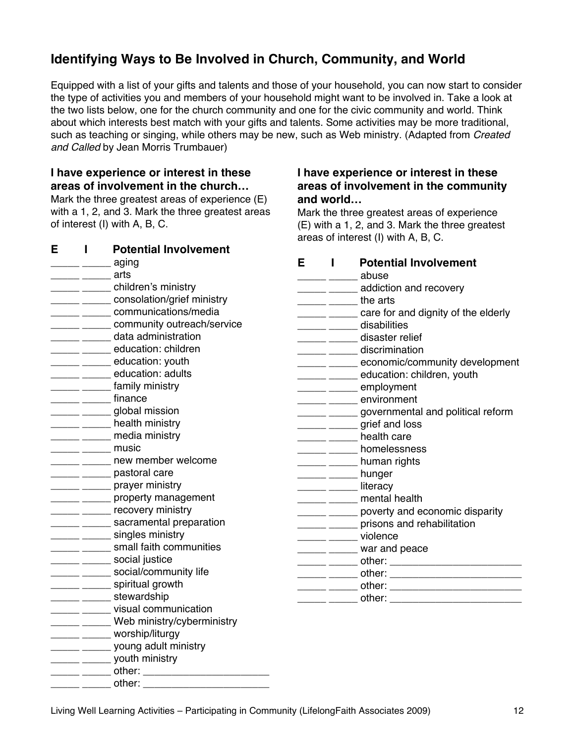# **Identifying Ways to Be Involved in Church, Community, and World**

Equipped with a list of your gifts and talents and those of your household, you can now start to consider the type of activities you and members of your household might want to be involved in. Take a look at the two lists below, one for the church community and one for the civic community and world. Think about which interests best match with your gifts and talents. Some activities may be more traditional, such as teaching or singing, while others may be new, such as Web ministry. (Adapted from *Created and Called* by Jean Morris Trumbauer)

**and world…**

**I have experience or interest in these areas of involvement in the community** 

Mark the three greatest areas of experience (E) with a 1, 2, and 3. Mark the three greatest

areas of interest (I) with A, B, C.

#### **I have experience or interest in these areas of involvement in the church…**

Mark the three greatest areas of experience (E) with a 1, 2, and 3. Mark the three greatest areas of interest (I) with A, B, C.

| Е | $\mathbf{I}$ | <b>Potential Involvement</b>                                              |   |              |                                                       |
|---|--------------|---------------------------------------------------------------------------|---|--------------|-------------------------------------------------------|
|   |              | ______ ______ aging                                                       | Е | $\mathbf{I}$ | <b>Potential Involvement</b>                          |
|   |              | ______ _______ arts                                                       |   |              | ______ ______ abuse                                   |
|   |              | ______ children's ministry                                                |   |              | _______ ______ addiction and recovery                 |
|   |              | ______ ______ consolation/grief ministry                                  |   |              | ______ _______ the arts                               |
|   |              | ______ ______ communications/media                                        |   |              | ______ ______ care for and dignity of the elderly     |
|   |              | _____ community outreach/service                                          |   |              | disabilities                                          |
|   |              | data administration                                                       |   |              | ______ _____ disaster relief                          |
|   |              | _____ _______ education: children                                         |   |              | ______ ______ discrimination                          |
|   |              | _____ education: youth                                                    |   |              | ______ ______ economic/community development          |
|   |              | _____ ______ education: adults                                            |   |              | ______ ______ education: children, youth              |
|   |              | <u>____</u> family ministry                                               |   |              | ______ employment                                     |
|   |              | <u>____</u> finance                                                       |   |              | environment                                           |
|   |              | _____ ______ global mission                                               |   |              | ______ _______ governmental and political reform      |
|   |              | ______ _____ health ministry                                              |   |              | ______ _______ grief and loss                         |
|   |              | _______ media ministry                                                    |   |              | ______ _____ health care                              |
|   |              | $\frac{1}{\sqrt{1-\frac{1}{2}}}\frac{1}{\sqrt{1-\frac{1}{2}}}\dots$ music |   |              | <b>______</b> homelessness                            |
|   |              | ______ _____ new member welcome                                           |   |              | ______ ______ human rights                            |
|   |              | ______ _______ pastoral care                                              |   |              | hunger                                                |
|   |              | ______ prayer ministry                                                    |   |              | Literacy                                              |
|   |              | ______ property management                                                |   |              | ______ _____ mental health                            |
|   |              | ______ ______ recovery ministry                                           |   |              | ______ poverty and economic disparity                 |
|   |              | ______ ______ sacramental preparation                                     |   |              | ______ prisons and rehabilitation                     |
|   |              | ______ ______ singles ministry                                            |   |              | ______ ______ violence                                |
|   |              | ______ ______ small faith communities                                     |   |              | ______ _____ war and peace                            |
|   |              | ______ ______ social justice                                              |   |              | ______ ______ other: ______________________________   |
|   |              | ______ ______ social/community life                                       |   |              | ______ _______ other: _______________________________ |
|   |              | ______ ______ spiritual growth                                            |   |              | ______ ______ other: _____________________________    |
|   |              | ______ ______ stewardship                                                 |   |              | ______ ______ other: _____________________________    |
|   |              | ______ ______ visual communication                                        |   |              |                                                       |
|   |              | ______ ______ Web ministry/cyberministry                                  |   |              |                                                       |
|   |              | ______ ______ worship/liturgy                                             |   |              |                                                       |
|   |              | ______ ________ young adult ministry                                      |   |              |                                                       |
|   |              | ______ _______ youth ministry                                             |   |              |                                                       |
|   |              | ______ ______ other: ____________________________                         |   |              |                                                       |
|   |              | other:                                                                    |   |              |                                                       |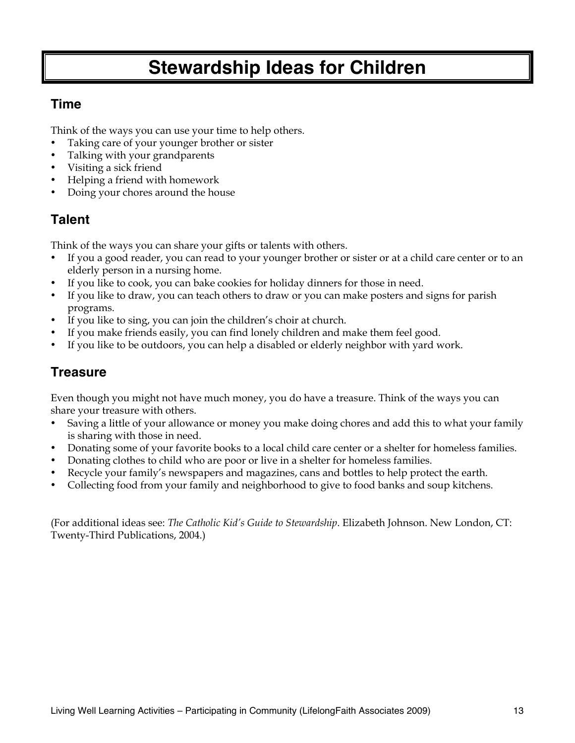# **Stewardship Ideas for Children**

## **Time**

Think of the ways you can use your time to help others.

- Taking care of your younger brother or sister
- Talking with your grandparents
- Visiting a sick friend
- Helping a friend with homework
- Doing your chores around the house

# **Talent**

Think of the ways you can share your gifts or talents with others.

- If you a good reader, you can read to your younger brother or sister or at a child care center or to an elderly person in a nursing home.
- If you like to cook, you can bake cookies for holiday dinners for those in need.
- If you like to draw, you can teach others to draw or you can make posters and signs for parish programs.
- If you like to sing, you can join the children's choir at church.
- If you make friends easily, you can find lonely children and make them feel good.
- If you like to be outdoors, you can help a disabled or elderly neighbor with yard work.

## **Treasure**

Even though you might not have much money, you do have a treasure. Think of the ways you can share your treasure with others.

- Saving a little of your allowance or money you make doing chores and add this to what your family is sharing with those in need.
- Donating some of your favorite books to a local child care center or a shelter for homeless families.
- Donating clothes to child who are poor or live in a shelter for homeless families.
- Recycle your family's newspapers and magazines, cans and bottles to help protect the earth.
- Collecting food from your family and neighborhood to give to food banks and soup kitchens.

(For additional ideas see: *The Catholic Kid's Guide to Stewardship*. Elizabeth Johnson. New London, CT: Twenty-Third Publications, 2004.)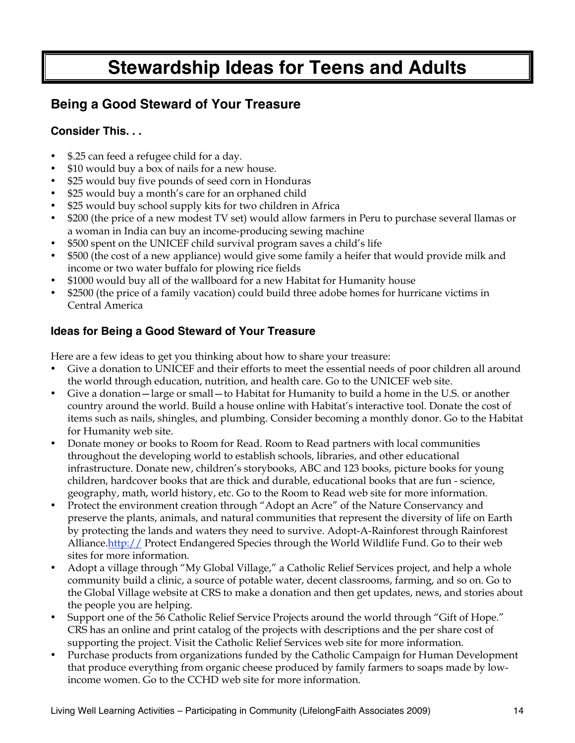# **Stewardship Ideas for Teens and Adults**

# **Being a Good Steward of Your Treasure**

## **Consider This. . .**

- \$.25 can feed a refugee child for a day.
- \$10 would buy a box of nails for a new house.
- \$25 would buy five pounds of seed corn in Honduras
- \$25 would buy a month's care for an orphaned child
- \$25 would buy school supply kits for two children in Africa
- \$200 (the price of a new modest TV set) would allow farmers in Peru to purchase several llamas or a woman in India can buy an income-producing sewing machine
- \$500 spent on the UNICEF child survival program saves a child's life
- \$500 (the cost of a new appliance) would give some family a heifer that would provide milk and income or two water buffalo for plowing rice fields
- \$1000 would buy all of the wallboard for a new Habitat for Humanity house
- \$2500 (the price of a family vacation) could build three adobe homes for hurricane victims in Central America

## **Ideas for Being a Good Steward of Your Treasure**

Here are a few ideas to get you thinking about how to share your treasure:

- Give a donation to UNICEF and their efforts to meet the essential needs of poor children all around the world through education, nutrition, and health care. Go to the UNICEF web site.
- Give a donation—large or small—to Habitat for Humanity to build a home in the U.S. or another country around the world. Build a house online with Habitat's interactive tool. Donate the cost of items such as nails, shingles, and plumbing. Consider becoming a monthly donor. Go to the Habitat for Humanity web site.
- Donate money or books to Room for Read. Room to Read partners with local communities throughout the developing world to establish schools, libraries, and other educational infrastructure. Donate new, children's storybooks, ABC and 123 books, picture books for young children, hardcover books that are thick and durable, educational books that are fun - science, geography, math, world history, etc. Go to the Room to Read web site for more information.
- Protect the environment creation through "Adopt an Acre" of the Nature Conservancy and preserve the plants, animals, and natural communities that represent the diversity of life on Earth by protecting the lands and waters they need to survive. Adopt-A-Rainforest through Rainforest Alliance.http:// Protect Endangered Species through the World Wildlife Fund. Go to their web sites for more information.
- Adopt a village through "My Global Village," a Catholic Relief Services project, and help a whole community build a clinic, a source of potable water, decent classrooms, farming, and so on. Go to the Global Village website at CRS to make a donation and then get updates, news, and stories about the people you are helping.
- Support one of the 56 Catholic Relief Service Projects around the world through "Gift of Hope." CRS has an online and print catalog of the projects with descriptions and the per share cost of supporting the project. Visit the Catholic Relief Services web site for more information.
- Purchase products from organizations funded by the Catholic Campaign for Human Development that produce everything from organic cheese produced by family farmers to soaps made by lowincome women. Go to the CCHD web site for more information.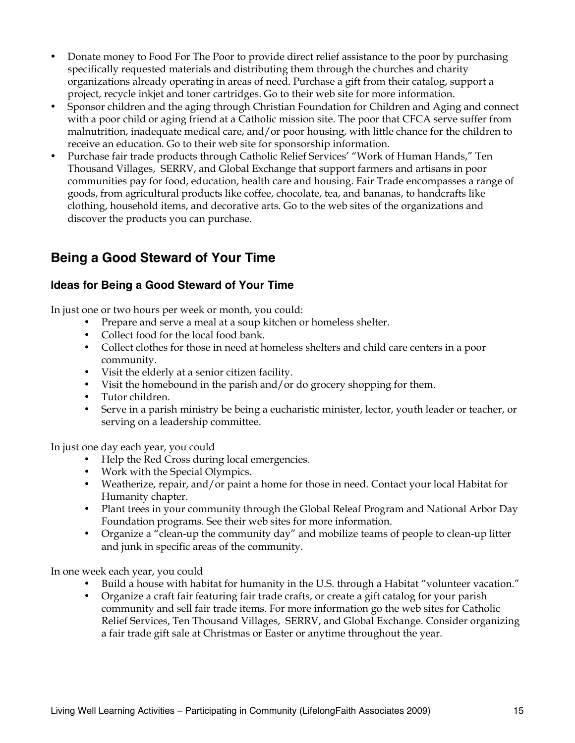- Donate money to Food For The Poor to provide direct relief assistance to the poor by purchasing specifically requested materials and distributing them through the churches and charity organizations already operating in areas of need. Purchase a gift from their catalog, support a project, recycle inkjet and toner cartridges. Go to their web site for more information.
- Sponsor children and the aging through Christian Foundation for Children and Aging and connect with a poor child or aging friend at a Catholic mission site. The poor that CFCA serve suffer from malnutrition, inadequate medical care, and/or poor housing, with little chance for the children to receive an education. Go to their web site for sponsorship information.
- Purchase fair trade products through Catholic Relief Services' "Work of Human Hands," Ten Thousand Villages, SERRV, and Global Exchange that support farmers and artisans in poor communities pay for food, education, health care and housing. Fair Trade encompasses a range of goods, from agricultural products like coffee, chocolate, tea, and bananas, to handcrafts like clothing, household items, and decorative arts. Go to the web sites of the organizations and discover the products you can purchase.

# **Being a Good Steward of Your Time**

### **Ideas for Being a Good Steward of Your Time**

In just one or two hours per week or month, you could:

- Prepare and serve a meal at a soup kitchen or homeless shelter.
- Collect food for the local food bank.
- Collect clothes for those in need at homeless shelters and child care centers in a poor community.
- Visit the elderly at a senior citizen facility.
- Visit the homebound in the parish and/or do grocery shopping for them.
- Tutor children.
- Serve in a parish ministry be being a eucharistic minister, lector, youth leader or teacher, or serving on a leadership committee.

In just one day each year, you could

- Help the Red Cross during local emergencies.
- Work with the Special Olympics.
- Weatherize, repair, and/or paint a home for those in need. Contact your local Habitat for Humanity chapter.
- Plant trees in your community through the Global Releaf Program and National Arbor Day Foundation programs. See their web sites for more information.
- Organize a "clean-up the community day" and mobilize teams of people to clean-up litter and junk in specific areas of the community.

In one week each year, you could

- Build a house with habitat for humanity in the U.S. through a Habitat "volunteer vacation."
- Organize a craft fair featuring fair trade crafts, or create a gift catalog for your parish community and sell fair trade items. For more information go the web sites for Catholic Relief Services, Ten Thousand Villages, SERRV, and Global Exchange. Consider organizing a fair trade gift sale at Christmas or Easter or anytime throughout the year.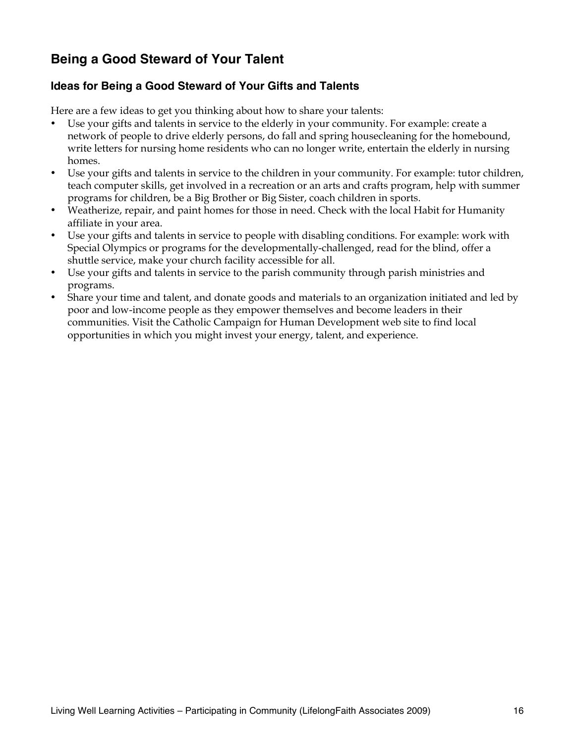# **Being a Good Steward of Your Talent**

#### **Ideas for Being a Good Steward of Your Gifts and Talents**

Here are a few ideas to get you thinking about how to share your talents:

- Use your gifts and talents in service to the elderly in your community. For example: create a network of people to drive elderly persons, do fall and spring housecleaning for the homebound, write letters for nursing home residents who can no longer write, entertain the elderly in nursing homes.
- Use your gifts and talents in service to the children in your community. For example: tutor children, teach computer skills, get involved in a recreation or an arts and crafts program, help with summer programs for children, be a Big Brother or Big Sister, coach children in sports.
- Weatherize, repair, and paint homes for those in need. Check with the local Habit for Humanity affiliate in your area.
- Use your gifts and talents in service to people with disabling conditions. For example: work with Special Olympics or programs for the developmentally-challenged, read for the blind, offer a shuttle service, make your church facility accessible for all.
- Use your gifts and talents in service to the parish community through parish ministries and programs.
- Share your time and talent, and donate goods and materials to an organization initiated and led by poor and low-income people as they empower themselves and become leaders in their communities. Visit the Catholic Campaign for Human Development web site to find local opportunities in which you might invest your energy, talent, and experience.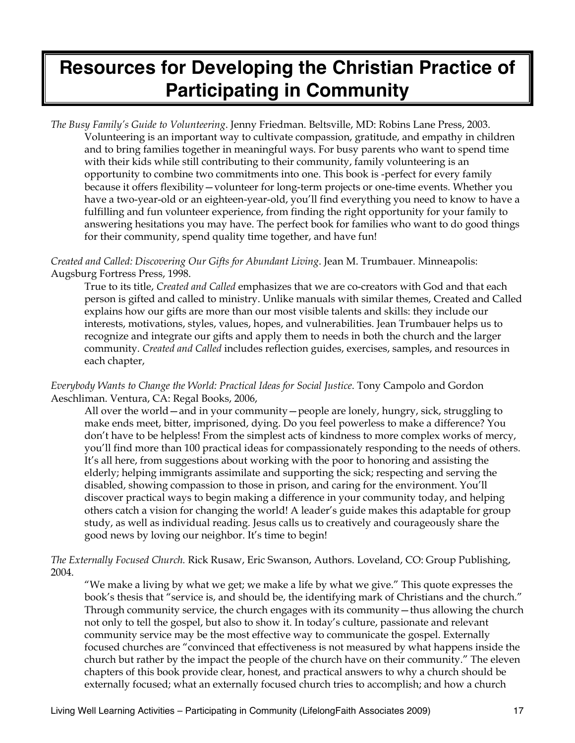# **Resources for Developing the Christian Practice of Participating in Community**

*The Busy Family's Guide to Volunteering*. Jenny Friedman. Beltsville, MD: Robins Lane Press, 2003. Volunteering is an important way to cultivate compassion, gratitude, and empathy in children and to bring families together in meaningful ways. For busy parents who want to spend time with their kids while still contributing to their community, family volunteering is an opportunity to combine two commitments into one. This book is -perfect for every family because it offers flexibility—volunteer for long-term projects or one-time events. Whether you have a two-year-old or an eighteen-year-old, you'll find everything you need to know to have a fulfilling and fun volunteer experience, from finding the right opportunity for your family to answering hesitations you may have. The perfect book for families who want to do good things for their community, spend quality time together, and have fun!

*Created and Called: Discovering Our Gifts for Abundant Living*. Jean M. Trumbauer. Minneapolis: Augsburg Fortress Press, 1998.

True to its title, *Created and Called* emphasizes that we are co-creators with God and that each person is gifted and called to ministry. Unlike manuals with similar themes, Created and Called explains how our gifts are more than our most visible talents and skills: they include our interests, motivations, styles, values, hopes, and vulnerabilities. Jean Trumbauer helps us to recognize and integrate our gifts and apply them to needs in both the church and the larger community. *Created and Called* includes reflection guides, exercises, samples, and resources in each chapter,

*Everybody Wants to Change the World: Practical Ideas for Social Justice*. Tony Campolo and Gordon Aeschliman. Ventura, CA: Regal Books, 2006,

All over the world—and in your community—people are lonely, hungry, sick, struggling to make ends meet, bitter, imprisoned, dying. Do you feel powerless to make a difference? You don't have to be helpless! From the simplest acts of kindness to more complex works of mercy, you'll find more than 100 practical ideas for compassionately responding to the needs of others. It's all here, from suggestions about working with the poor to honoring and assisting the elderly; helping immigrants assimilate and supporting the sick; respecting and serving the disabled, showing compassion to those in prison, and caring for the environment. You'll discover practical ways to begin making a difference in your community today, and helping others catch a vision for changing the world! A leader's guide makes this adaptable for group study, as well as individual reading. Jesus calls us to creatively and courageously share the good news by loving our neighbor. It's time to begin!

*The Externally Focused Church.* Rick Rusaw, Eric Swanson, Authors. Loveland, CO: Group Publishing, 2004.

"We make a living by what we get; we make a life by what we give." This quote expresses the book's thesis that "service is, and should be, the identifying mark of Christians and the church." Through community service, the church engages with its community—thus allowing the church not only to tell the gospel, but also to show it. In today's culture, passionate and relevant community service may be the most effective way to communicate the gospel. Externally focused churches are "convinced that effectiveness is not measured by what happens inside the church but rather by the impact the people of the church have on their community." The eleven chapters of this book provide clear, honest, and practical answers to why a church should be externally focused; what an externally focused church tries to accomplish; and how a church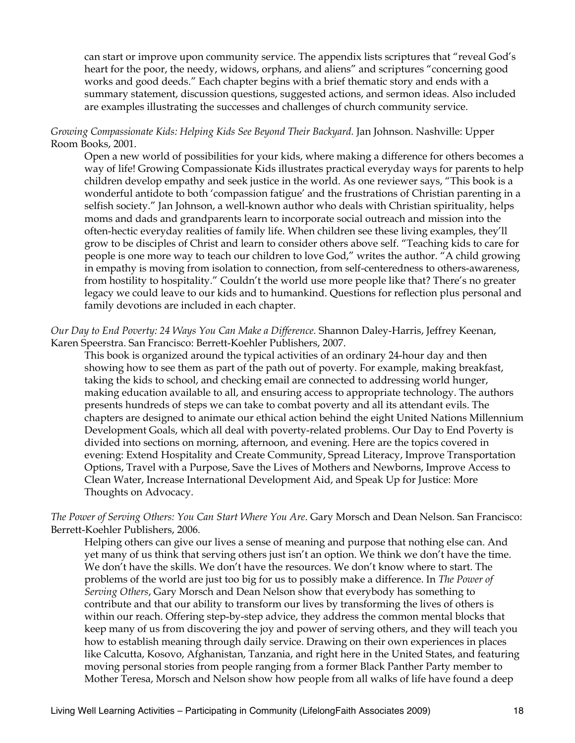can start or improve upon community service. The appendix lists scriptures that "reveal God's heart for the poor, the needy, widows, orphans, and aliens" and scriptures "concerning good works and good deeds." Each chapter begins with a brief thematic story and ends with a summary statement, discussion questions, suggested actions, and sermon ideas. Also included are examples illustrating the successes and challenges of church community service.

#### *Growing Compassionate Kids: Helping Kids See Beyond Their Backyard.* Jan Johnson. Nashville: Upper Room Books, 2001.

Open a new world of possibilities for your kids, where making a difference for others becomes a way of life! Growing Compassionate Kids illustrates practical everyday ways for parents to help children develop empathy and seek justice in the world. As one reviewer says, "This book is a wonderful antidote to both 'compassion fatigue' and the frustrations of Christian parenting in a selfish society." Jan Johnson, a well-known author who deals with Christian spirituality, helps moms and dads and grandparents learn to incorporate social outreach and mission into the often-hectic everyday realities of family life. When children see these living examples, they'll grow to be disciples of Christ and learn to consider others above self. "Teaching kids to care for people is one more way to teach our children to love God," writes the author. "A child growing in empathy is moving from isolation to connection, from self-centeredness to others-awareness, from hostility to hospitality." Couldn't the world use more people like that? There's no greater legacy we could leave to our kids and to humankind. Questions for reflection plus personal and family devotions are included in each chapter.

*Our Day to End Poverty: 24 Ways You Can Make a Difference.* Shannon Daley-Harris, Jeffrey Keenan, Karen Speerstra. San Francisco: Berrett-Koehler Publishers, 2007.

This book is organized around the typical activities of an ordinary 24-hour day and then showing how to see them as part of the path out of poverty. For example, making breakfast, taking the kids to school, and checking email are connected to addressing world hunger, making education available to all, and ensuring access to appropriate technology. The authors presents hundreds of steps we can take to combat poverty and all its attendant evils. The chapters are designed to animate our ethical action behind the eight United Nations Millennium Development Goals, which all deal with poverty-related problems. Our Day to End Poverty is divided into sections on morning, afternoon, and evening. Here are the topics covered in evening: Extend Hospitality and Create Community, Spread Literacy, Improve Transportation Options, Travel with a Purpose, Save the Lives of Mothers and Newborns, Improve Access to Clean Water, Increase International Development Aid, and Speak Up for Justice: More Thoughts on Advocacy.

*The Power of Serving Others: You Can Start Where You Are*. Gary Morsch and Dean Nelson. San Francisco: Berrett-Koehler Publishers, 2006.

Helping others can give our lives a sense of meaning and purpose that nothing else can. And yet many of us think that serving others just isn't an option. We think we don't have the time. We don't have the skills. We don't have the resources. We don't know where to start. The problems of the world are just too big for us to possibly make a difference. In *The Power of Serving Others*, Gary Morsch and Dean Nelson show that everybody has something to contribute and that our ability to transform our lives by transforming the lives of others is within our reach. Offering step-by-step advice, they address the common mental blocks that keep many of us from discovering the joy and power of serving others, and they will teach you how to establish meaning through daily service. Drawing on their own experiences in places like Calcutta, Kosovo, Afghanistan, Tanzania, and right here in the United States, and featuring moving personal stories from people ranging from a former Black Panther Party member to Mother Teresa, Morsch and Nelson show how people from all walks of life have found a deep